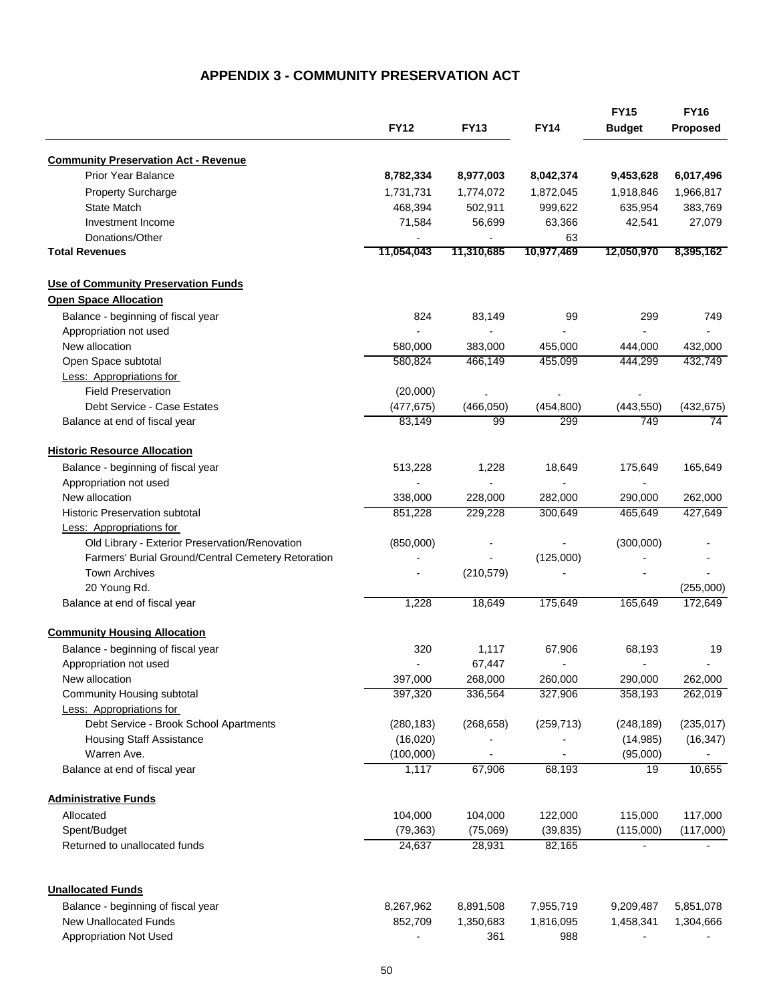## **APPENDIX 3 - COMMUNITY PRESERVATION ACT**

|                                                                    |                          |                        | <b>FY14</b>              | <b>FY15</b><br><b>Budget</b> | <b>FY16</b><br>Proposed |
|--------------------------------------------------------------------|--------------------------|------------------------|--------------------------|------------------------------|-------------------------|
|                                                                    | <b>FY12</b>              | <b>FY13</b>            |                          |                              |                         |
| <b>Community Preservation Act - Revenue</b>                        |                          |                        |                          |                              |                         |
| <b>Prior Year Balance</b>                                          | 8,782,334                | 8,977,003              | 8,042,374                | 9,453,628                    | 6,017,496               |
| <b>Property Surcharge</b>                                          | 1,731,731                | 1,774,072              | 1,872,045                | 1,918,846                    | 1,966,817               |
| State Match                                                        | 468,394                  | 502,911                | 999,622                  | 635,954                      | 383,769                 |
| Investment Income                                                  | 71,584                   | 56,699                 | 63,366                   | 42,541                       | 27,079                  |
| Donations/Other                                                    |                          |                        | 63                       |                              |                         |
| <b>Total Revenues</b>                                              | 11,054,043               | 11,310,685             | 10,977,469               | 12,050,970                   | 8,395,162               |
| <b>Use of Community Preservation Funds</b>                         |                          |                        |                          |                              |                         |
| <b>Open Space Allocation</b>                                       |                          |                        |                          |                              |                         |
| Balance - beginning of fiscal year                                 | 824                      | 83,149                 | 99                       | 299                          | 749                     |
| Appropriation not used                                             |                          |                        |                          |                              |                         |
| New allocation                                                     | 580,000                  | 383,000                | 455,000                  | 444,000                      | 432,000                 |
| Open Space subtotal                                                | 580,824                  | 466,149                | 455,099                  | 444,299                      | 432,749                 |
| Less: Appropriations for                                           |                          |                        |                          |                              |                         |
| <b>Field Preservation</b>                                          | (20,000)                 |                        |                          |                              |                         |
| Debt Service - Case Estates                                        | (477, 675)               | (466, 050)             | (454, 800)               | (443, 550)                   | (432, 675)              |
| Balance at end of fiscal year                                      | 83,149                   | 99                     | 299                      | 749                          | 74                      |
| <b>Historic Resource Allocation</b>                                |                          |                        |                          |                              |                         |
| Balance - beginning of fiscal year                                 | 513,228                  | 1,228                  | 18,649                   | 175,649                      | 165,649                 |
| Appropriation not used                                             |                          |                        |                          |                              |                         |
| New allocation                                                     | 338,000                  | 228,000                | 282,000                  | 290,000                      | 262,000                 |
| <b>Historic Preservation subtotal</b>                              | 851,228                  | 229,228                | 300,649                  | 465,649                      | 427,649                 |
| <b>Less: Appropriations for</b>                                    |                          |                        |                          |                              |                         |
| Old Library - Exterior Preservation/Renovation                     | (850,000)                |                        |                          | (300,000)                    |                         |
| Farmers' Burial Ground/Central Cemetery Retoration                 |                          |                        | (125,000)                |                              |                         |
| <b>Town Archives</b>                                               | $\overline{\phantom{a}}$ | (210, 579)             |                          |                              |                         |
| 20 Young Rd.                                                       |                          |                        |                          |                              | (255,000)               |
| Balance at end of fiscal year                                      | 1,228                    | 18,649                 | 175,649                  | 165,649                      | 172,649                 |
| <b>Community Housing Allocation</b>                                |                          |                        |                          |                              |                         |
| Balance - beginning of fiscal year                                 | 320                      | 1,117                  | 67,906                   | 68,193                       | 19                      |
| Appropriation not used                                             |                          | 67,447                 | $\overline{\phantom{a}}$ |                              |                         |
| New allocation                                                     | 397,000                  | 268,000                | 260,000                  | 290,000                      | 262,000                 |
| Community Housing subtotal                                         | 397,320                  | 336,564                | 327,906                  | 358,193                      | 262,019                 |
| Less: Appropriations for                                           |                          |                        |                          |                              |                         |
| Debt Service - Brook School Apartments                             | (280, 183)               | (268, 658)             | (259, 713)               | (248, 189)                   | (235, 017)              |
| <b>Housing Staff Assistance</b>                                    | (16,020)                 |                        |                          | (14, 985)                    | (16, 347)               |
| Warren Ave.                                                        | (100,000)                |                        |                          | (95,000)                     |                         |
| Balance at end of fiscal year                                      | 1,117                    | 67,906                 | 68,193                   | 19                           | 10,655                  |
| <b>Administrative Funds</b>                                        |                          |                        |                          |                              |                         |
| Allocated                                                          | 104,000                  | 104,000                | 122,000                  | 115,000                      | 117,000                 |
| Spent/Budget                                                       | (79, 363)                | (75,069)               | (39, 835)                | (115,000)                    | (117,000)               |
| Returned to unallocated funds                                      | 24,637                   | 28,931                 | 82,165                   |                              |                         |
| <b>Unallocated Funds</b>                                           |                          |                        |                          |                              |                         |
|                                                                    |                          |                        |                          |                              |                         |
| Balance - beginning of fiscal year<br><b>New Unallocated Funds</b> | 8,267,962<br>852,709     | 8,891,508<br>1,350,683 | 7,955,719<br>1,816,095   | 9,209,487<br>1,458,341       | 5,851,078<br>1,304,666  |
| <b>Appropriation Not Used</b>                                      |                          | 361                    | 988                      |                              |                         |
|                                                                    |                          |                        |                          |                              |                         |